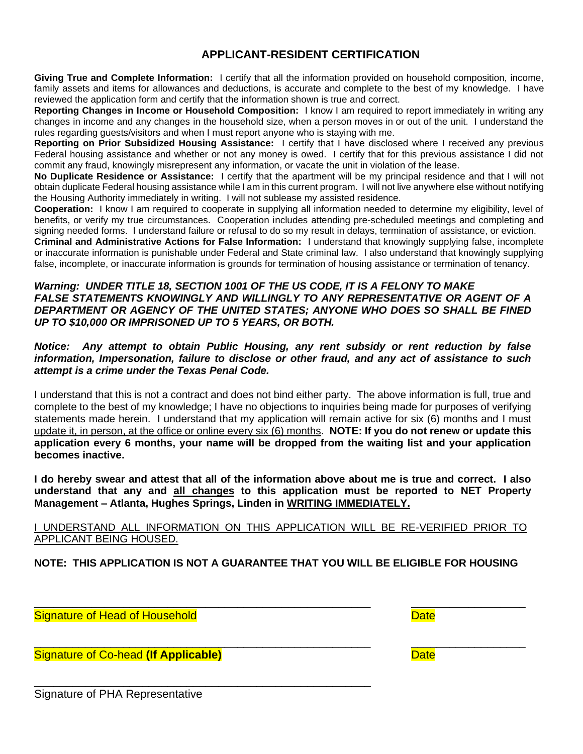## **APPLICANT-RESIDENT CERTIFICATION**

**Giving True and Complete Information:** I certify that all the information provided on household composition, income, family assets and items for allowances and deductions, is accurate and complete to the best of my knowledge. I have reviewed the application form and certify that the information shown is true and correct.

**Reporting Changes in Income or Household Composition:** I know I am required to report immediately in writing any changes in income and any changes in the household size, when a person moves in or out of the unit. I understand the rules regarding guests/visitors and when I must report anyone who is staying with me.

**Reporting on Prior Subsidized Housing Assistance:** I certify that I have disclosed where I received any previous Federal housing assistance and whether or not any money is owed. I certify that for this previous assistance I did not commit any fraud, knowingly misrepresent any information, or vacate the unit in violation of the lease.

**No Duplicate Residence or Assistance:** I certify that the apartment will be my principal residence and that I will not obtain duplicate Federal housing assistance while I am in this current program. I will not live anywhere else without notifying the Housing Authority immediately in writing. I will not sublease my assisted residence.

**Cooperation:** I know I am required to cooperate in supplying all information needed to determine my eligibility, level of benefits, or verify my true circumstances. Cooperation includes attending pre-scheduled meetings and completing and signing needed forms. I understand failure or refusal to do so my result in delays, termination of assistance, or eviction. **Criminal and Administrative Actions for False Information:** I understand that knowingly supplying false, incomplete or inaccurate information is punishable under Federal and State criminal law. I also understand that knowingly supplying false, incomplete, or inaccurate information is grounds for termination of housing assistance or termination of tenancy.

#### *Warning: UNDER TITLE 18, SECTION 1001 OF THE US CODE, IT IS A FELONY TO MAKE FALSE STATEMENTS KNOWINGLY AND WILLINGLY TO ANY REPRESENTATIVE OR AGENT OF A DEPARTMENT OR AGENCY OF THE UNITED STATES; ANYONE WHO DOES SO SHALL BE FINED UP TO \$10,000 OR IMPRISONED UP TO 5 YEARS, OR BOTH.*

#### *Notice: Any attempt to obtain Public Housing, any rent subsidy or rent reduction by false information, Impersonation, failure to disclose or other fraud, and any act of assistance to such attempt is a crime under the Texas Penal Code.*

I understand that this is not a contract and does not bind either party. The above information is full, true and complete to the best of my knowledge; I have no objections to inquiries being made for purposes of verifying statements made herein. I understand that my application will remain active for six (6) months and I must update it, in person, at the office or online every six (6) months. **NOTE: If you do not renew or update this application every 6 months, your name will be dropped from the waiting list and your application becomes inactive.** 

**I do hereby swear and attest that all of the information above about me is true and correct. I also understand that any and all changes to this application must be reported to NET Property Management – Atlanta, Hughes Springs, Linden in WRITING IMMEDIATELY.**

### I UNDERSTAND ALL INFORMATION ON THIS APPLICATION WILL BE RE-VERIFIED PRIOR TO APPLICANT BEING HOUSED.

**NOTE: THIS APPLICATION IS NOT A GUARANTEE THAT YOU WILL BE ELIGIBLE FOR HOUSING**

\_\_\_\_\_\_\_\_\_\_\_\_\_\_\_\_\_\_\_\_\_\_\_\_\_\_\_\_\_\_\_\_\_\_\_\_\_\_\_\_\_\_\_\_\_\_\_\_\_\_\_\_\_ \_\_\_\_\_\_\_\_\_\_\_\_\_\_\_\_\_\_ Signature of Head of Household Date Date Controller and Date Date Date

Signature of Co-head (If Applicable) **Date Date** Date

\_\_\_\_\_\_\_\_\_\_\_\_\_\_\_\_\_\_\_\_\_\_\_\_\_\_\_\_\_\_\_\_\_\_\_\_\_\_\_\_\_\_\_\_\_\_\_\_\_\_\_\_\_

\_\_\_\_\_\_\_\_\_\_\_\_\_\_\_\_\_\_\_\_\_\_\_\_\_\_\_\_\_\_\_\_\_\_\_\_\_\_\_\_\_\_\_\_\_\_\_\_\_\_\_\_\_ \_\_\_\_\_\_\_\_\_\_\_\_\_\_\_\_\_\_

Signature of PHA Representative